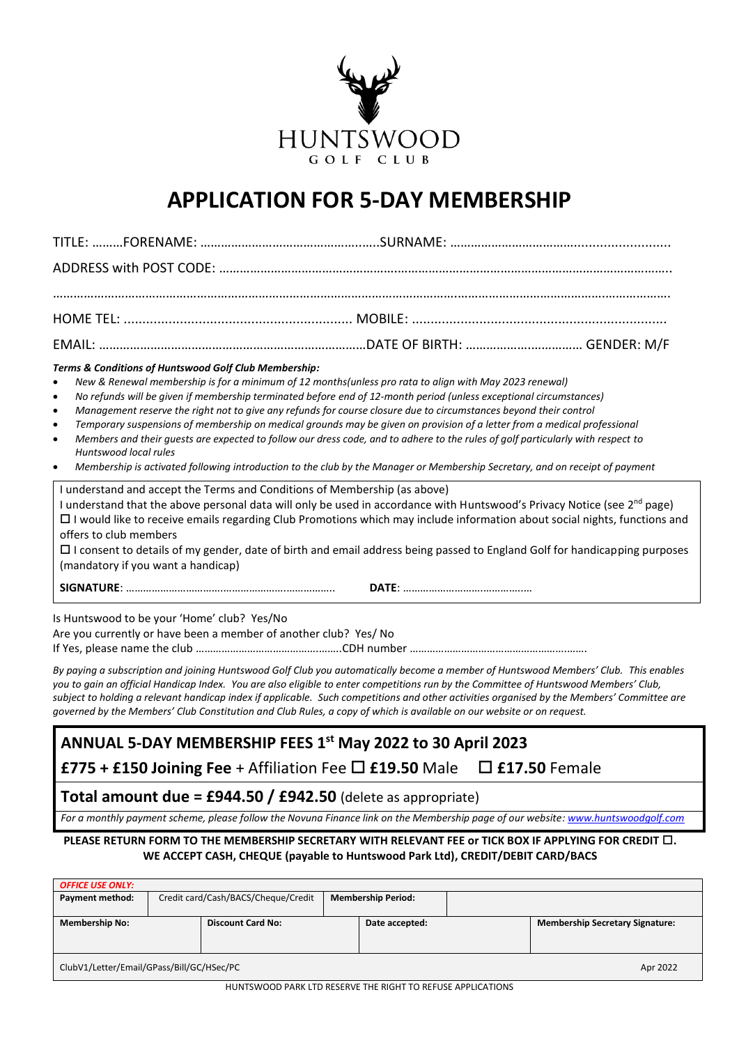

# **APPLICATION FOR 5-DAY MEMBERSHIP**

| Terms & Conditions of Huntswood Golf Club Membership:<br>New & Renewal membership is for a minimum of 12 months(unless pro rata to align with May 2023 renewal)<br>$\bullet$<br>No refunds will be given if membership terminated before end of 12-month period (unless exceptional circumstances)<br>$\bullet$<br>Management reserve the right not to give any refunds for course closure due to circumstances beyond their control<br>$\bullet$<br>Temporary suspensions of membership on medical grounds may be given on provision of a letter from a medical professional<br>$\bullet$<br>Members and their guests are expected to follow our dress code, and to adhere to the rules of golf particularly with respect to<br>$\bullet$<br>Huntswood local rules<br>Membership is activated following introduction to the club by the Manager or Membership Secretary, and on receipt of payment<br>$\bullet$ |  |  |  |  |  |  |  |
|------------------------------------------------------------------------------------------------------------------------------------------------------------------------------------------------------------------------------------------------------------------------------------------------------------------------------------------------------------------------------------------------------------------------------------------------------------------------------------------------------------------------------------------------------------------------------------------------------------------------------------------------------------------------------------------------------------------------------------------------------------------------------------------------------------------------------------------------------------------------------------------------------------------|--|--|--|--|--|--|--|
| I understand and accept the Terms and Conditions of Membership (as above)<br>I understand that the above personal data will only be used in accordance with Huntswood's Privacy Notice (see 2 <sup>nd</sup> page)<br>$\Box$ I would like to receive emails regarding Club Promotions which may include information about social nights, functions and<br>offers to club members<br>□ I consent to details of my gender, date of birth and email address being passed to England Golf for handicapping purposes<br>(mandatory if you want a handicap)                                                                                                                                                                                                                                                                                                                                                             |  |  |  |  |  |  |  |
|                                                                                                                                                                                                                                                                                                                                                                                                                                                                                                                                                                                                                                                                                                                                                                                                                                                                                                                  |  |  |  |  |  |  |  |
| Is Huntswood to be your 'Home' club? Yes/No<br>Are you currently or have been a member of another club? Yes/ No<br>By paying a subscription and joining Huntswood Golf Club you automatically become a member of Huntswood Members' Club. This enables<br>you to gain an official Handicap Index. You are also eligible to enter competitions run by the Committee of Huntswood Members' Club,<br>subject to holding a relevant handicap index if applicable. Such competitions and other activities organised by the Members' Committee are                                                                                                                                                                                                                                                                                                                                                                     |  |  |  |  |  |  |  |
| governed by the Members' Club Constitution and Club Rules, a copy of which is available on our website or on request.                                                                                                                                                                                                                                                                                                                                                                                                                                                                                                                                                                                                                                                                                                                                                                                            |  |  |  |  |  |  |  |
| ANNUAL 5-DAY MEMBERSHIP FEES 1 <sup>st</sup> May 2022 to 30 April 2023<br>£775 + £150 Joining Fee + Affiliation Fee $\square$ £19.50 Male $\square$ £17.50 Female                                                                                                                                                                                                                                                                                                                                                                                                                                                                                                                                                                                                                                                                                                                                                |  |  |  |  |  |  |  |
| <b>Total amount due = £944.50 / £942.50</b> (delete as appropriate)                                                                                                                                                                                                                                                                                                                                                                                                                                                                                                                                                                                                                                                                                                                                                                                                                                              |  |  |  |  |  |  |  |
| For a monthly payment scheme, please follow the Novuna Finance link on the Membership page of our website: www.huntswoodgolf.com                                                                                                                                                                                                                                                                                                                                                                                                                                                                                                                                                                                                                                                                                                                                                                                 |  |  |  |  |  |  |  |
| PLEASE RETURN FORM TO THE MEMBERSHIP SECRETARY WITH RELEVANT FEE or TICK BOX IF APPLYING FOR CREDIT $\square$ .<br>WE ACCEPT CASH, CHEQUE (payable to Huntswood Park Ltd), CREDIT/DEBIT CARD/BACS                                                                                                                                                                                                                                                                                                                                                                                                                                                                                                                                                                                                                                                                                                                |  |  |  |  |  |  |  |
| <b>OFFICE USE ONLY:</b>                                                                                                                                                                                                                                                                                                                                                                                                                                                                                                                                                                                                                                                                                                                                                                                                                                                                                          |  |  |  |  |  |  |  |

| -------------                                                  |                                     |                          |                           |                |  |                                        |  |  |
|----------------------------------------------------------------|-------------------------------------|--------------------------|---------------------------|----------------|--|----------------------------------------|--|--|
| Payment method:                                                | Credit card/Cash/BACS/Cheque/Credit |                          | <b>Membership Period:</b> |                |  |                                        |  |  |
| <b>Membership No:</b>                                          |                                     | <b>Discount Card No:</b> |                           | Date accepted: |  | <b>Membership Secretary Signature:</b> |  |  |
| ClubV1/Letter/Email/GPass/Bill/GC/HSec/PC<br>Apr 2022          |                                     |                          |                           |                |  |                                        |  |  |
| .   .____. _ _ _ _ . _ __ _ _ _ _ _ _<br>--------------------- |                                     |                          |                           |                |  |                                        |  |  |